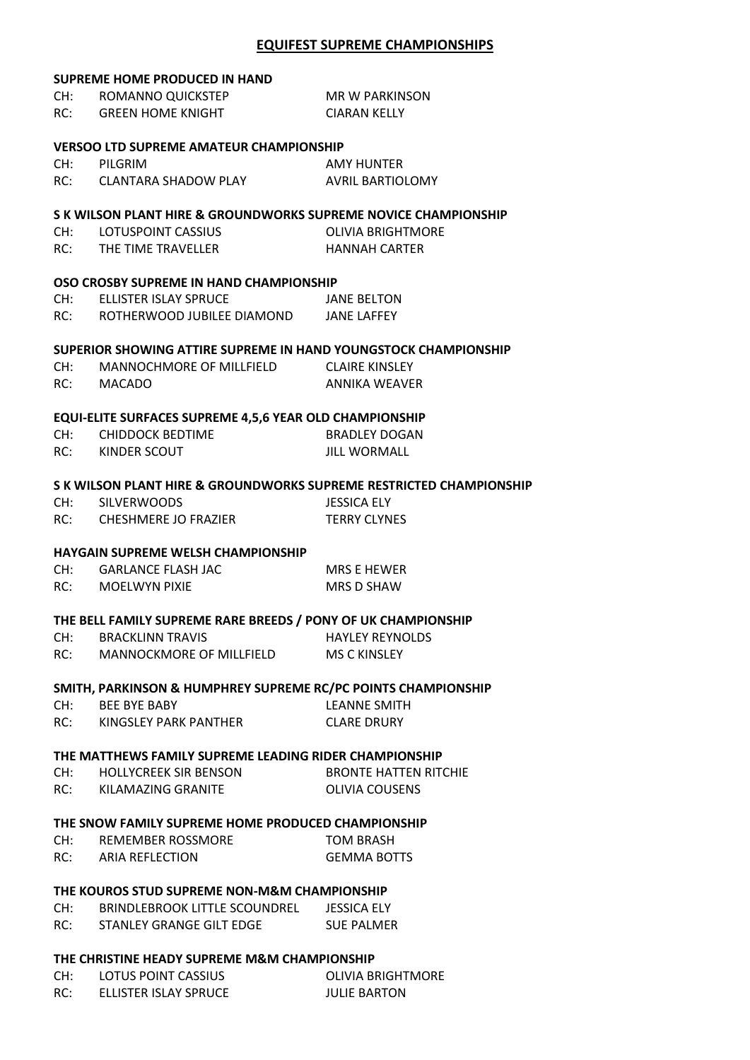## **EQUIFEST SUPREME CHAMPIONSHIPS**

## **SUPREME HOME PRODUCED IN HAND** CH: ROMANNO QUICKSTEP MR W PARKINSON RC: GREEN HOME KNIGHT CIARAN KELLY **VERSOO LTD SUPREME AMATEUR CHAMPIONSHIP** CH: PILGRIM AMY HUNTER RC: CLANTARA SHADOW PLAY AVRIL BARTIOLOMY **S K WILSON PLANT HIRE & GROUNDWORKS SUPREME NOVICE CHAMPIONSHIP** CH: LOTUSPOINT CASSIUS **CHILL CHILL CHILL CHILL CHILL CHILL CHILL CHILL CHILL CHILL CHILL CHILL CHILL CHILL CHI** RC: THE TIME TRAVELLER HANNAH CARTER **OSO CROSBY SUPREME IN HAND CHAMPIONSHIP** CH: ELLISTER ISLAY SPRUCE JANE BELTON RC: ROTHERWOOD JUBILEE DIAMOND JANE LAFFEY **SUPERIOR SHOWING ATTIRE SUPREME IN HAND YOUNGSTOCK CHAMPIONSHIP** CH: MANNOCHMORE OF MILLFIELD CLAIRE KINSLEY RC: MACADO ANNIKA WEAVER **EQUI-ELITE SURFACES SUPREME 4,5,6 YEAR OLD CHAMPIONSHIP** CH: CHIDDOCK BEDTIME BRADLEY DOGAN RC: KINDER SCOUT JILL WORMALL **S K WILSON PLANT HIRE & GROUNDWORKS SUPREME RESTRICTED CHAMPIONSHIP** CH: SILVERWOODS JESSICA ELY RC: CHESHMERE JO FRAZIER TERRY CLYNES **HAYGAIN SUPREME WELSH CHAMPIONSHIP** CH: GARLANCE FLASH JAC MRS E HEWER RC: MOELWYN PIXIE MRS D SHAW **THE BELL FAMILY SUPREME RARE BREEDS / PONY OF UK CHAMPIONSHIP** CH: BRACKLINN TRAVIS HAYLEY REYNOLDS RC: MANNOCKMORE OF MILLFIELD MS C KINSLEY **SMITH, PARKINSON & HUMPHREY SUPREME RC/PC POINTS CHAMPIONSHIP** CH: BEE BYE BABY LEANNE SMITH RC: KINGSLEY PARK PANTHER CLARE DRURY **THE MATTHEWS FAMILY SUPREME LEADING RIDER CHAMPIONSHIP** CH: HOLLYCREEK SIR BENSON BRONTE HATTEN RITCHIE RC: KILAMAZING GRANITE **COUSENS THE SNOW FAMILY SUPREME HOME PRODUCED CHAMPIONSHIP** CH: REMEMBER ROSSMORE TOM BRASH RC: ARIA REFLECTION GEMMA BOTTS **THE KOUROS STUD SUPREME NON-M&M CHAMPIONSHIP** CH: BRINDLEBROOK LITTLE SCOUNDREL JESSICA ELY RC: STANLEY GRANGE GILT EDGE SUE PALMER

## **THE CHRISTINE HEADY SUPREME M&M CHAMPIONSHIP**

| CH: | LOTUS POINT CASSIUS   | OLIVIA BRIGHTMORE   |
|-----|-----------------------|---------------------|
| RC: | ELLISTER ISLAY SPRUCE | <b>JULIE BARTON</b> |